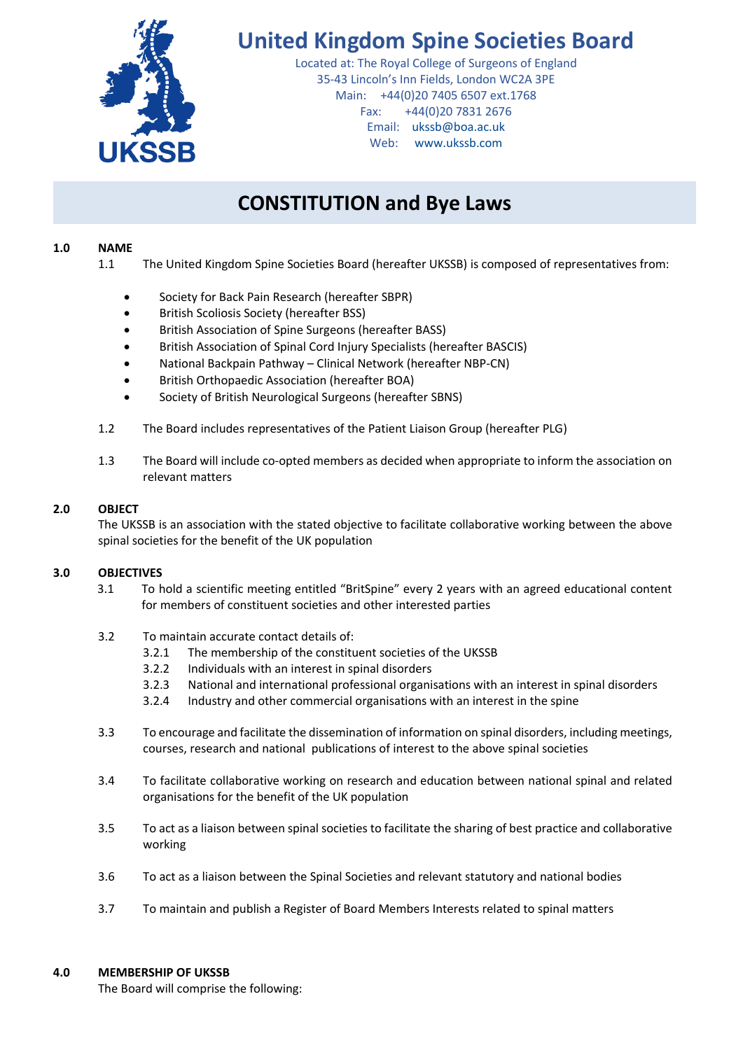

# **United Kingdom Spine Societies Board**

Located at: The Royal College of Surgeons of England 35-43 Lincoln's Inn Fields, London WC2A 3PE Main: +44(0)20 7405 6507 ext.1768 Fax: +44(0)20 7831 2676 Email: [ukssb@boa.ac.uk](mailto:ukssb@boa.ac.uk) Web: [www.ukssb.com](http://www.ukssb.com/)

# **CONSTITUTION and Bye Laws**

# **1.0 NAME**

- 1.1 The United Kingdom Spine Societies Board (hereafter UKSSB) is composed of representatives from:
	- Society for Back Pain Research (hereafter SBPR)
	- British Scoliosis Society (hereafter BSS)
	- British Association of Spine Surgeons (hereafter BASS)
	- British Association of Spinal Cord Injury Specialists (hereafter BASCIS)
	- National Backpain Pathway Clinical Network (hereafter NBP-CN)
	- British Orthopaedic Association (hereafter BOA)
	- Society of British Neurological Surgeons (hereafter SBNS)
- 1.2 The Board includes representatives of the Patient Liaison Group (hereafter PLG)
- 1.3 The Board will include co-opted members as decided when appropriate to inform the association on relevant matters

## **2.0 OBJECT**

The UKSSB is an association with the stated objective to facilitate collaborative working between the above spinal societies for the benefit of the UK population

## **3.0 OBJECTIVES**

- 3.1 To hold a scientific meeting entitled "BritSpine" every 2 years with an agreed educational content for members of constituent societies and other interested parties
- 3.2 To maintain accurate contact details of:
	- 3.2.1 The membership of the constituent societies of the UKSSB
	- 3.2.2 Individuals with an interest in spinal disorders
	- 3.2.3 National and international professional organisations with an interest in spinal disorders
	- 3.2.4 Industry and other commercial organisations with an interest in the spine
- 3.3 To encourage and facilitate the dissemination of information on spinal disorders, including meetings, courses, research and national publications of interest to the above spinal societies
- 3.4 To facilitate collaborative working on research and education between national spinal and related organisations for the benefit of the UK population
- 3.5 To act as a liaison between spinal societies to facilitate the sharing of best practice and collaborative working
- 3.6 To act as a liaison between the Spinal Societies and relevant statutory and national bodies
- 3.7 To maintain and publish a Register of Board Members Interests related to spinal matters

## **4.0 MEMBERSHIP OF UKSSB**

The Board will comprise the following: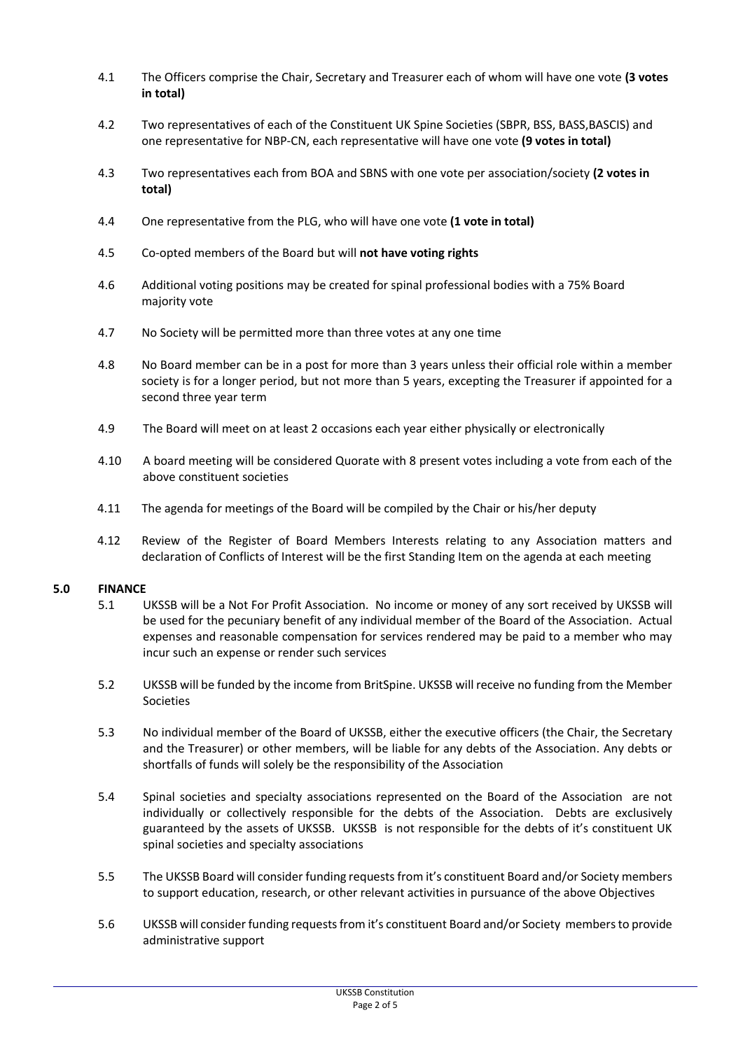- 4.1 The Officers comprise the Chair, Secretary and Treasurer each of whom will have one vote **(3 votes in total)**
- 4.2 Two representatives of each of the Constituent UK Spine Societies (SBPR, BSS, BASS, BASCIS) and one representative for NBP-CN, each representative will have one vote **(9 votes in total)**
- 4.3 Two representatives each from BOA and SBNS with one vote per association/society **(2 votes in total)**
- 4.4 One representative from the PLG, who will have one vote **(1 vote in total)**
- 4.5 Co-opted members of the Board but will **not have voting rights**
- 4.6 Additional voting positions may be created for spinal professional bodies with a 75% Board majority vote
- 4.7 No Society will be permitted more than three votes at any one time
- 4.8 No Board member can be in a post for more than 3 years unless their official role within a member society is for a longer period, but not more than 5 years, excepting the Treasurer if appointed for a second three year term
- 4.9 The Board will meet on at least 2 occasions each year either physically or electronically
- 4.10 A board meeting will be considered Quorate with 8 present votes including a vote from each of the above constituent societies
- 4.11 The agenda for meetings of the Board will be compiled by the Chair or his/her deputy
- 4.12 Review of the Register of Board Members Interests relating to any Association matters and declaration of Conflicts of Interest will be the first Standing Item on the agenda at each meeting

#### **5.0 FINANCE**

- 5.1 UKSSB will be a Not For Profit Association. No income or money of any sort received by UKSSB will be used for the pecuniary benefit of any individual member of the Board of the Association. Actual expenses and reasonable compensation for services rendered may be paid to a member who may incur such an expense or render such services
- 5.2 UKSSB will be funded by the income from BritSpine. UKSSB will receive no funding from the Member Societies
- 5.3 No individual member of the Board of UKSSB, either the executive officers (the Chair, the Secretary and the Treasurer) or other members, will be liable for any debts of the Association. Any debts or shortfalls of funds will solely be the responsibility of the Association
- 5.4 Spinal societies and specialty associations represented on the Board of the Association are not individually or collectively responsible for the debts of the Association. Debts are exclusively guaranteed by the assets of UKSSB. UKSSB is not responsible for the debts of it's constituent UK spinal societies and specialty associations
- 5.5 The UKSSB Board will consider funding requests from it's constituent Board and/or Society members to support education, research, or other relevant activities in pursuance of the above Objectives
- 5.6 UKSSB will consider funding requests from it's constituent Board and/or Society members to provide administrative support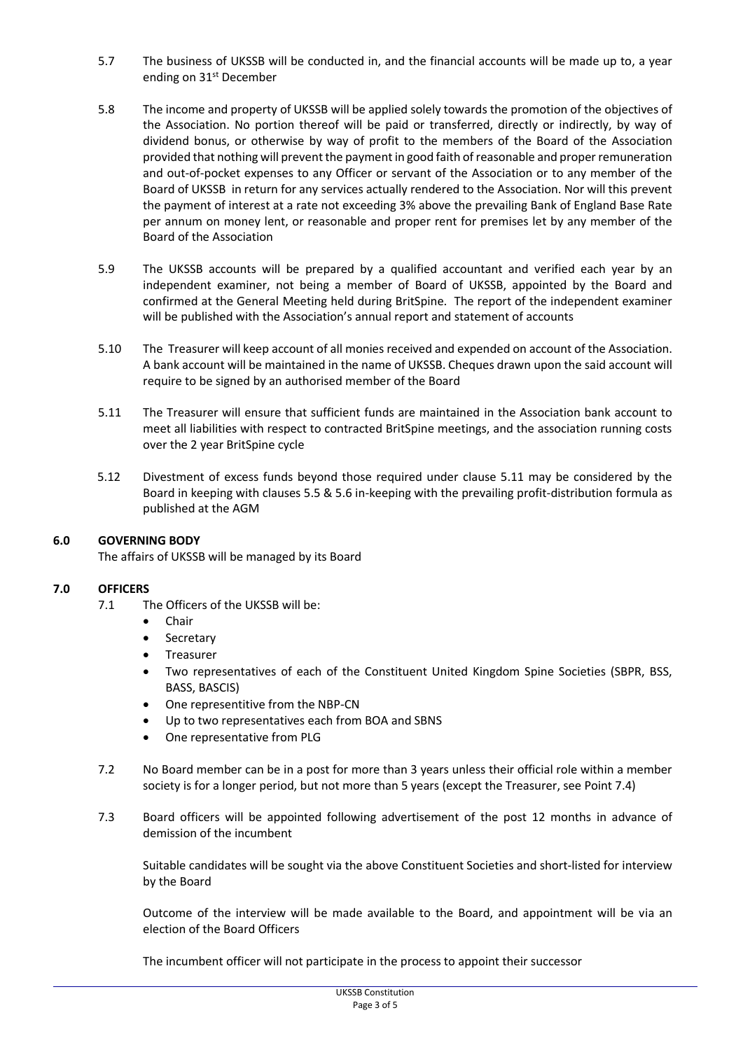- 5.7 The business of UKSSB will be conducted in, and the financial accounts will be made up to, a year ending on 31st December
- 5.8 The income and property of UKSSB will be applied solely towards the promotion of the objectives of the Association. No portion thereof will be paid or transferred, directly or indirectly, by way of dividend bonus, or otherwise by way of profit to the members of the Board of the Association provided that nothing will prevent the payment in good faith of reasonable and proper remuneration and out-of-pocket expenses to any Officer or servant of the Association or to any member of the Board of UKSSB in return for any services actually rendered to the Association. Nor will this prevent the payment of interest at a rate not exceeding 3% above the prevailing Bank of England Base Rate per annum on money lent, or reasonable and proper rent for premises let by any member of the Board of the Association
- 5.9 The UKSSB accounts will be prepared by a qualified accountant and verified each year by an independent examiner, not being a member of Board of UKSSB, appointed by the Board and confirmed at the General Meeting held during BritSpine. The report of the independent examiner will be published with the Association's annual report and statement of accounts
- 5.10 The Treasurer will keep account of all monies received and expended on account of the Association. A bank account will be maintained in the name of UKSSB. Cheques drawn upon the said account will require to be signed by an authorised member of the Board
- 5.11 The Treasurer will ensure that sufficient funds are maintained in the Association bank account to meet all liabilities with respect to contracted BritSpine meetings, and the association running costs over the 2 year BritSpine cycle
- 5.12 Divestment of excess funds beyond those required under clause 5.11 may be considered by the Board in keeping with clauses 5.5 & 5.6 in-keeping with the prevailing profit-distribution formula as published at the AGM

## **6.0 GOVERNING BODY**

The affairs of UKSSB will be managed by its Board

## **7.0 OFFICERS**

- 7.1 The Officers of the UKSSB will be:
	- **.** Chair
	- Secretary
	- Treasurer
	- Two representatives of each of the Constituent United Kingdom Spine Societies (SBPR, BSS, BASS, BASCIS)
	- One representitive from the NBP-CN
	- Up to two representatives each from BOA and SBNS
	- One representative from PLG
- 7.2 No Board member can be in a post for more than 3 years unless their official role within a member society is for a longer period, but not more than 5 years (except the Treasurer, see Point 7.4)
- 7.3 Board officers will be appointed following advertisement of the post 12 months in advance of demission of the incumbent

Suitable candidates will be sought via the above Constituent Societies and short-listed for interview by the Board

Outcome of the interview will be made available to the Board, and appointment will be via an election of the Board Officers

The incumbent officer will not participate in the process to appoint their successor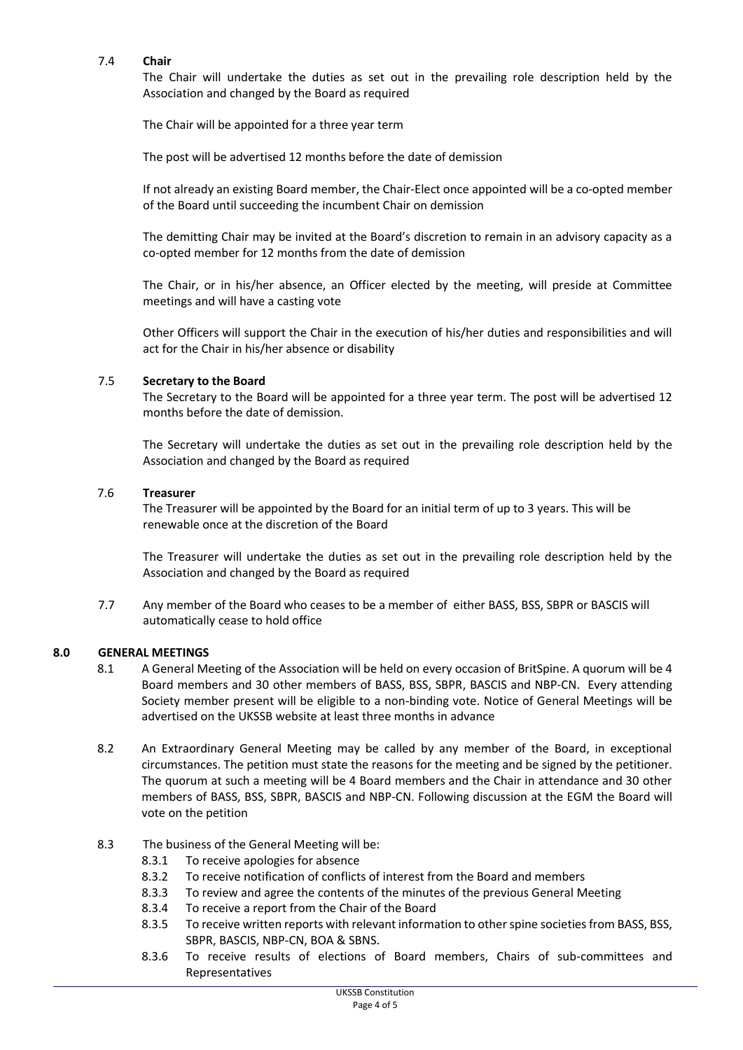#### 7.4 **Chair**

The Chair will undertake the duties as set out in the prevailing role description held by the Association and changed by the Board as required

The Chair will be appointed for a three year term

The post will be advertised 12 months before the date of demission

If not already an existing Board member, the Chair-Elect once appointed will be a co-opted member of the Board until succeeding the incumbent Chair on demission

The demitting Chair may be invited at the Board's discretion to remain in an advisory capacity as a co-opted member for 12 months from the date of demission

The Chair, or in his/her absence, an Officer elected by the meeting, will preside at Committee meetings and will have a casting vote

Other Officers will support the Chair in the execution of his/her duties and responsibilities and will act for the Chair in his/her absence or disability

#### 7.5 **Secretary to the Board**

The Secretary to the Board will be appointed for a three year term. The post will be advertised 12 months before the date of demission.

The Secretary will undertake the duties as set out in the prevailing role description held by the Association and changed by the Board as required

#### 7.6 **Treasurer**

The Treasurer will be appointed by the Board for an initial term of up to 3 years. This will be renewable once at the discretion of the Board

The Treasurer will undertake the duties as set out in the prevailing role description held by the Association and changed by the Board as required

7.7 Any member of the Board who ceases to be a member of either BASS, BSS, SBPR or BASCIS will automatically cease to hold office

#### **8.0 GENERAL MEETINGS**

- 8.1 A General Meeting of the Association will be held on every occasion of BritSpine. A quorum will be 4 Board members and 30 other members of BASS, BSS, SBPR, BASCIS and NBP-CN. Every attending Society member present will be eligible to a non-binding vote. Notice of General Meetings will be advertised on the UKSSB website at least three months in advance
- 8.2 An Extraordinary General Meeting may be called by any member of the Board, in exceptional circumstances. The petition must state the reasons for the meeting and be signed by the petitioner. The quorum at such a meeting will be 4 Board members and the Chair in attendance and 30 other members of BASS, BSS, SBPR, BASCIS and NBP-CN. Following discussion at the EGM the Board will vote on the petition
- 8.3 The business of the General Meeting will be:
	- 8.3.1 To receive apologies for absence
	- 8.3.2 To receive notification of conflicts of interest from the Board and members
	- 8.3.3 To review and agree the contents of the minutes of the previous General Meeting
	- 8.3.4 To receive a report from the Chair of the Board
	- 8.3.5 To receive written reports with relevant information to other spine societies from BASS, BSS, SBPR, BASCIS, NBP-CN, BOA & SBNS.
	- 8.3.6 To receive results of elections of Board members, Chairs of sub-committees and Representatives